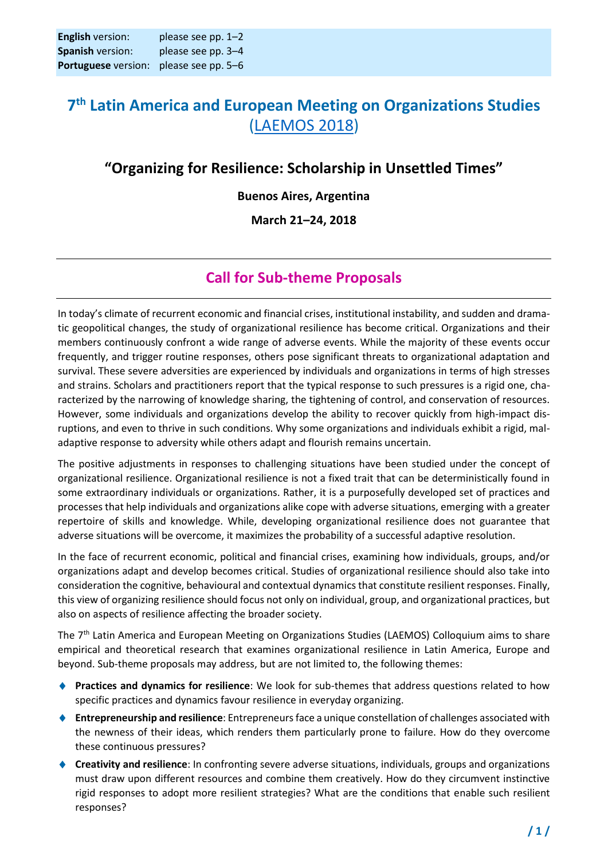## **7 th Latin America and European Meeting on Organizations Studies** [\(LAEMOS 2018\)](http://laemos2018.wixsite.com/laemos)

### **"Organizing for Resilience: Scholarship in Unsettled Times"**

#### **Buenos Aires, Argentina**

#### **March 21–24, 2018**

### **Call for Sub-theme Proposals**

In today's climate of recurrent economic and financial crises, institutional instability, and sudden and dramatic geopolitical changes, the study of organizational resilience has become critical. Organizations and their members continuously confront a wide range of adverse events. While the majority of these events occur frequently, and trigger routine responses, others pose significant threats to organizational adaptation and survival. These severe adversities are experienced by individuals and organizations in terms of high stresses and strains. Scholars and practitioners report that the typical response to such pressures is a rigid one, characterized by the narrowing of knowledge sharing, the tightening of control, and conservation of resources. However, some individuals and organizations develop the ability to recover quickly from high-impact disruptions, and even to thrive in such conditions. Why some organizations and individuals exhibit a rigid, maladaptive response to adversity while others adapt and flourish remains uncertain.

The positive adjustments in responses to challenging situations have been studied under the concept of organizational resilience. Organizational resilience is not a fixed trait that can be deterministically found in some extraordinary individuals or organizations. Rather, it is a purposefully developed set of practices and processes that help individuals and organizations alike cope with adverse situations, emerging with a greater repertoire of skills and knowledge. While, developing organizational resilience does not guarantee that adverse situations will be overcome, it maximizes the probability of a successful adaptive resolution.

In the face of recurrent economic, political and financial crises, examining how individuals, groups, and/or organizations adapt and develop becomes critical. Studies of organizational resilience should also take into consideration the cognitive, behavioural and contextual dynamics that constitute resilient responses. Finally, this view of organizing resilience should focus not only on individual, group, and organizational practices, but also on aspects of resilience affecting the broader society.

The 7th Latin America and European Meeting on Organizations Studies (LAEMOS) Colloquium aims to share empirical and theoretical research that examines organizational resilience in Latin America, Europe and beyond. Sub-theme proposals may address, but are not limited to, the following themes:

- **Practices and dynamics for resilience**: We look for sub-themes that address questions related to how specific practices and dynamics favour resilience in everyday organizing.
- **Entrepreneurship and resilience**: Entrepreneurs face a unique constellation of challenges associated with the newness of their ideas, which renders them particularly prone to failure. How do they overcome these continuous pressures?
- **Creativity and resilience**: In confronting severe adverse situations, individuals, groups and organizations must draw upon different resources and combine them creatively. How do they circumvent instinctive rigid responses to adopt more resilient strategies? What are the conditions that enable such resilient responses?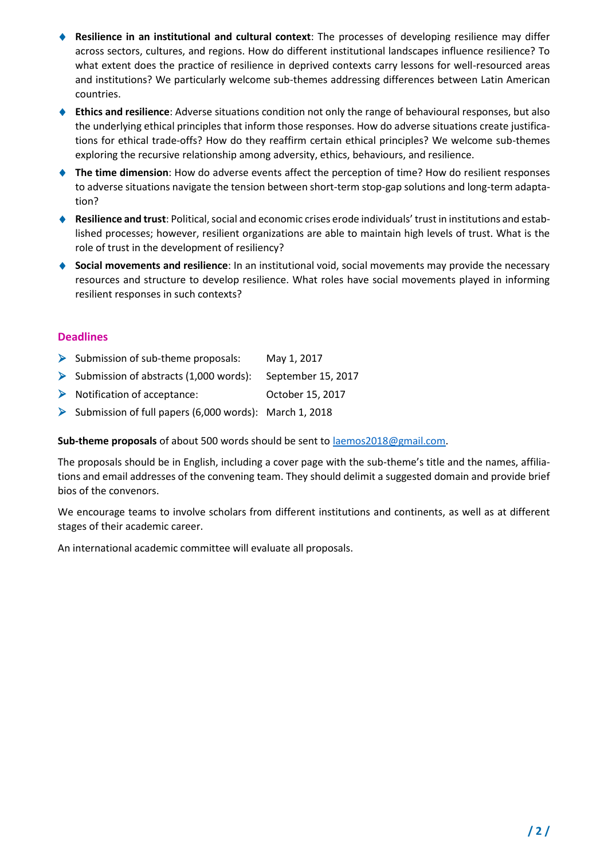- **Resilience in an institutional and cultural context**: The processes of developing resilience may differ across sectors, cultures, and regions. How do different institutional landscapes influence resilience? To what extent does the practice of resilience in deprived contexts carry lessons for well-resourced areas and institutions? We particularly welcome sub-themes addressing differences between Latin American countries.
- **Ethics and resilience**: Adverse situations condition not only the range of behavioural responses, but also the underlying ethical principles that inform those responses. How do adverse situations create justifications for ethical trade-offs? How do they reaffirm certain ethical principles? We welcome sub-themes exploring the recursive relationship among adversity, ethics, behaviours, and resilience.
- ◆ The time dimension: How do adverse events affect the perception of time? How do resilient responses to adverse situations navigate the tension between short-term stop-gap solutions and long-term adaptation?
- **Resilience and trust**: Political, social and economic crises erode individuals' trust in institutions and established processes; however, resilient organizations are able to maintain high levels of trust. What is the role of trust in the development of resiliency?
- ◆ **Social movements and resilience**: In an institutional void, social movements may provide the necessary resources and structure to develop resilience. What roles have social movements played in informing resilient responses in such contexts?

#### **Deadlines**

- $\triangleright$  Submission of sub-theme proposals: May 1, 2017
- ➢ Submission of abstracts (1,000 words): September 15, 2017
- ➢ Notification of acceptance: October 15, 2017
- ➢ Submission of full papers (6,000 words): March 1, 2018

**Sub-theme proposals** of about 500 words should be sent to [laemos2018@gmail.com.](mailto:laemos2018@gmail.com)

The proposals should be in English, including a cover page with the sub-theme's title and the names, affiliations and email addresses of the convening team. They should delimit a suggested domain and provide brief bios of the convenors.

We encourage teams to involve scholars from different institutions and continents, as well as at different stages of their academic career.

An international academic committee will evaluate all proposals.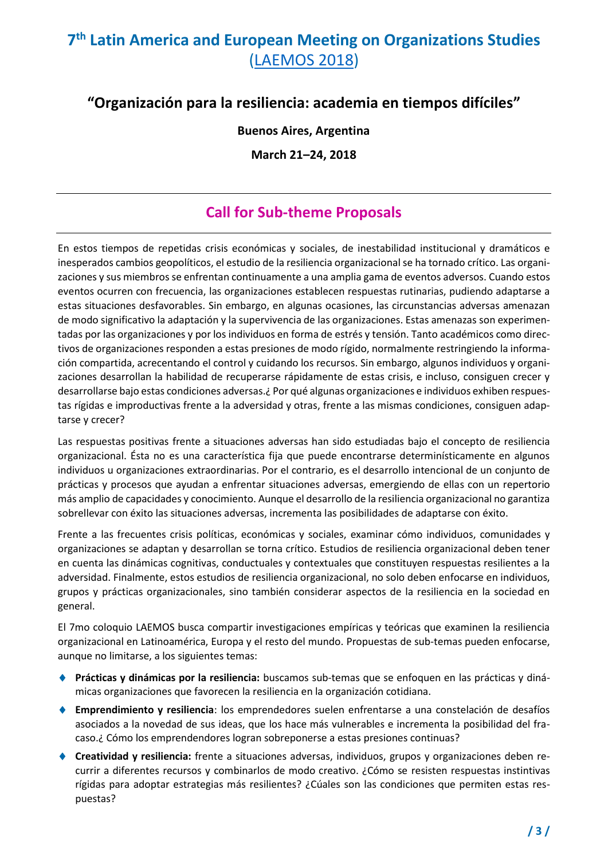# **7 th Latin America and European Meeting on Organizations Studies**  [\(LAEMOS 2018\)](http://laemos2018.wixsite.com/laemos)

### **"Organización para la resiliencia: academia en tiempos difíciles"**

#### **Buenos Aires, Argentina**

**March 21–24, 2018**

### **Call for Sub-theme Proposals**

En estos tiempos de repetidas crisis económicas y sociales, de inestabilidad institucional y dramáticos e inesperados cambios geopolíticos, el estudio de la resiliencia organizacional se ha tornado crítico. Las organizaciones y sus miembros se enfrentan continuamente a una amplia gama de eventos adversos. Cuando estos eventos ocurren con frecuencia, las organizaciones establecen respuestas rutinarias, pudiendo adaptarse a estas situaciones desfavorables. Sin embargo, en algunas ocasiones, las circunstancias adversas amenazan de modo significativo la adaptación y la supervivencia de las organizaciones. Estas amenazas son experimentadas por las organizaciones y por los individuos en forma de estrés y tensión. Tanto académicos como directivos de organizaciones responden a estas presiones de modo rígido, normalmente restringiendo la información compartida, acrecentando el control y cuidando los recursos. Sin embargo, algunos individuos y organizaciones desarrollan la habilidad de recuperarse rápidamente de estas crisis, e incluso, consiguen crecer y desarrollarse bajo estas condiciones adversas.¿ Por qué algunas organizaciones e individuos exhiben respuestas rígidas e improductivas frente a la adversidad y otras, frente a las mismas condiciones, consiguen adaptarse y crecer?

Las respuestas positivas frente a situaciones adversas han sido estudiadas bajo el concepto de resiliencia organizacional. Ésta no es una característica fija que puede encontrarse determinísticamente en algunos individuos u organizaciones extraordinarias. Por el contrario, es el desarrollo intencional de un conjunto de prácticas y procesos que ayudan a enfrentar situaciones adversas, emergiendo de ellas con un repertorio más amplio de capacidades y conocimiento. Aunque el desarrollo de la resiliencia organizacional no garantiza sobrellevar con éxito las situaciones adversas, incrementa las posibilidades de adaptarse con éxito.

Frente a las frecuentes crisis políticas, económicas y sociales, examinar cómo individuos, comunidades y organizaciones se adaptan y desarrollan se torna crítico. Estudios de resiliencia organizacional deben tener en cuenta las dinámicas cognitivas, conductuales y contextuales que constituyen respuestas resilientes a la adversidad. Finalmente, estos estudios de resiliencia organizacional, no solo deben enfocarse en individuos, grupos y prácticas organizacionales, sino también considerar aspectos de la resiliencia en la sociedad en general.

El 7mo coloquio LAEMOS busca compartir investigaciones empíricas y teóricas que examinen la resiliencia organizacional en Latinoamérica, Europa y el resto del mundo. Propuestas de sub-temas pueden enfocarse, aunque no limitarse, a los siguientes temas:

- **Prácticas y dinámicas por la resiliencia:** buscamos sub-temas que se enfoquen en las prácticas y dinámicas organizaciones que favorecen la resiliencia en la organización cotidiana.
- **Emprendimiento y resiliencia**: los emprendedores suelen enfrentarse a una constelación de desafíos asociados a la novedad de sus ideas, que los hace más vulnerables e incrementa la posibilidad del fracaso.¿ Cómo los emprendendores logran sobreponerse a estas presiones continuas?
- **Creatividad y resiliencia:** frente a situaciones adversas, individuos, grupos y organizaciones deben recurrir a diferentes recursos y combinarlos de modo creativo. ¿Cómo se resisten respuestas instintivas rígidas para adoptar estrategias más resilientes? ¿Cúales son las condiciones que permiten estas respuestas?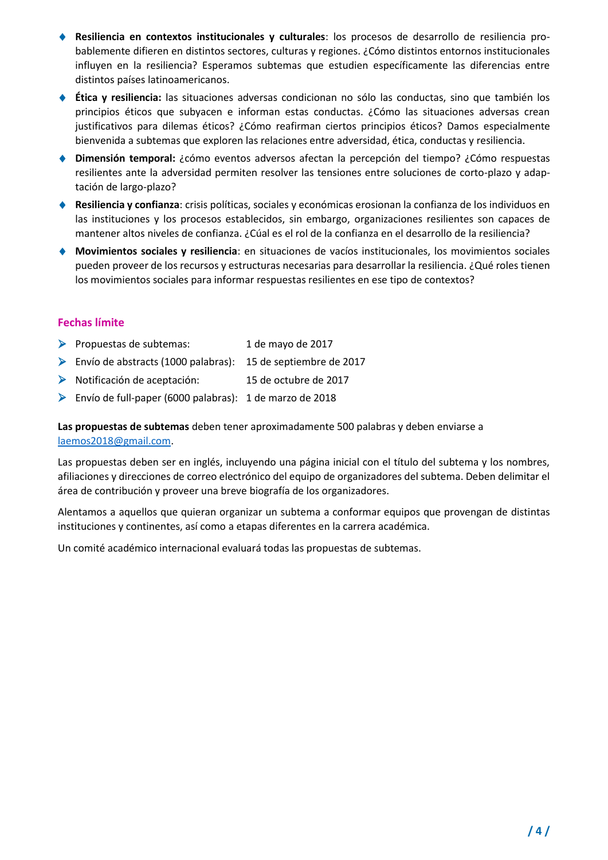- **Resiliencia en contextos institucionales y culturales**: los procesos de desarrollo de resiliencia probablemente difieren en distintos sectores, culturas y regiones. ¿Cómo distintos entornos institucionales influyen en la resiliencia? Esperamos subtemas que estudien específicamente las diferencias entre distintos países latinoamericanos.
- ◆ Ética y resiliencia: las situaciones adversas condicionan no sólo las conductas, sino que también los principios éticos que subyacen e informan estas conductas. ¿Cómo las situaciones adversas crean justificativos para dilemas éticos? ¿Cómo reafirman ciertos principios éticos? Damos especialmente bienvenida a subtemas que exploren las relaciones entre adversidad, ética, conductas y resiliencia.
- **Dimensión temporal:** ¿cómo eventos adversos afectan la percepción del tiempo? ¿Cómo respuestas resilientes ante la adversidad permiten resolver las tensiones entre soluciones de corto-plazo y adaptación de largo-plazo?
- **Resiliencia y confianza**: crisis políticas, sociales y económicas erosionan la confianza de los individuos en las instituciones y los procesos establecidos, sin embargo, organizaciones resilientes son capaces de mantener altos niveles de confianza. ¿Cúal es el rol de la confianza en el desarrollo de la resiliencia?
- **Movimientos sociales y resiliencia**: en situaciones de vacíos institucionales, los movimientos sociales pueden proveer de los recursos y estructuras necesarias para desarrollar la resiliencia. ¿Qué roles tienen los movimientos sociales para informar respuestas resilientes en ese tipo de contextos?

#### **Fechas límite**

- ➢ Propuestas de subtemas: 1 de mayo de 2017
- ➢ Envío de abstracts (1000 palabras): 15 de septiembre de 2017
- ➢ Notificación de aceptación: 15 de octubre de 2017
- ➢ Envío de full-paper (6000 palabras): 1 de marzo de 2018

**Las propuestas de subtemas** deben tener aproximadamente 500 palabras y deben enviarse a [laemos2018@gmail.com.](mailto:laemos2018@gmail.com)

Las propuestas deben ser en inglés, incluyendo una página inicial con el título del subtema y los nombres, afiliaciones y direcciones de correo electrónico del equipo de organizadores del subtema. Deben delimitar el área de contribución y proveer una breve biografía de los organizadores.

Alentamos a aquellos que quieran organizar un subtema a conformar equipos que provengan de distintas instituciones y continentes, así como a etapas diferentes en la carrera académica.

Un comité académico internacional evaluará todas las propuestas de subtemas.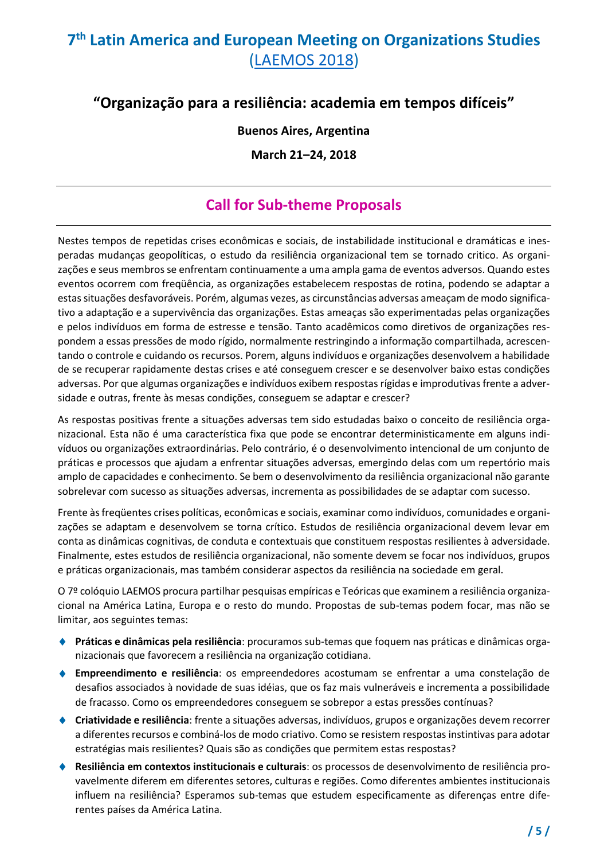# **7 th Latin America and European Meeting on Organizations Studies**  [\(LAEMOS 2018\)](http://laemos2018.wixsite.com/laemos)

### **"Organização para a resiliência: academia em tempos difíceis"**

#### **Buenos Aires, Argentina**

**March 21–24, 2018**

### **Call for Sub-theme Proposals**

Nestes tempos de repetidas crises econômicas e sociais, de instabilidade institucional e dramáticas e inesperadas mudanças geopolíticas, o estudo da resiliência organizacional tem se tornado critico. As organizações e seus membros se enfrentam continuamente a uma ampla gama de eventos adversos. Quando estes eventos ocorrem com freqüência, as organizações estabelecem respostas de rotina, podendo se adaptar a estas situações desfavoráveis. Porém, algumas vezes, as circunstâncias adversas ameaçam de modo significativo a adaptação e a supervivência das organizações. Estas ameaças são experimentadas pelas organizações e pelos indivíduos em forma de estresse e tensão. Tanto acadêmicos como diretivos de organizações respondem a essas pressões de modo rígido, normalmente restringindo a informação compartilhada, acrescentando o controle e cuidando os recursos. Porem, alguns indivíduos e organizações desenvolvem a habilidade de se recuperar rapidamente destas crises e até conseguem crescer e se desenvolver baixo estas condições adversas. Por que algumas organizações e indivíduos exibem respostas rígidas e improdutivas frente a adversidade e outras, frente às mesas condições, conseguem se adaptar e crescer?

As respostas positivas frente a situações adversas tem sido estudadas baixo o conceito de resiliência organizacional. Esta não é uma característica fixa que pode se encontrar deterministicamente em alguns indivíduos ou organizações extraordinárias. Pelo contrário, é o desenvolvimento intencional de um conjunto de práticas e processos que ajudam a enfrentar situações adversas, emergindo delas com um repertório mais amplo de capacidades e conhecimento. Se bem o desenvolvimento da resiliência organizacional não garante sobrelevar com sucesso as situações adversas, incrementa as possibilidades de se adaptar com sucesso.

Frente às freqüentes crises políticas, econômicas e sociais, examinar como indivíduos, comunidades e organizações se adaptam e desenvolvem se torna crítico. Estudos de resiliência organizacional devem levar em conta as dinâmicas cognitivas, de conduta e contextuais que constituem respostas resilientes à adversidade. Finalmente, estes estudos de resiliência organizacional, não somente devem se focar nos indivíduos, grupos e práticas organizacionais, mas também considerar aspectos da resiliência na sociedade em geral.

O 7º colóquio LAEMOS procura partilhar pesquisas empíricas e Teóricas que examinem a resiliência organizacional na América Latina, Europa e o resto do mundo. Propostas de sub-temas podem focar, mas não se limitar, aos seguintes temas:

- **Práticas e dinâmicas pela resiliência**: procuramos sub-temas que foquem nas práticas e dinâmicas organizacionais que favorecem a resiliência na organização cotidiana.
- **Empreendimento e resiliência**: os empreendedores acostumam se enfrentar a uma constelação de desafios associados à novidade de suas idéias, que os faz mais vulneráveis e incrementa a possibilidade de fracasso. Como os empreendedores conseguem se sobrepor a estas pressões contínuas?
- **Criatividade e resiliência**: frente a situações adversas, indivíduos, grupos e organizações devem recorrer a diferentes recursos e combiná-los de modo criativo. Como se resistem respostas instintivas para adotar estratégias mais resilientes? Quais são as condições que permitem estas respostas?
- **Resiliência em contextos institucionais e culturais**: os processos de desenvolvimento de resiliência provavelmente diferem em diferentes setores, culturas e regiões. Como diferentes ambientes institucionais influem na resiliência? Esperamos sub-temas que estudem especificamente as diferenças entre diferentes países da América Latina.